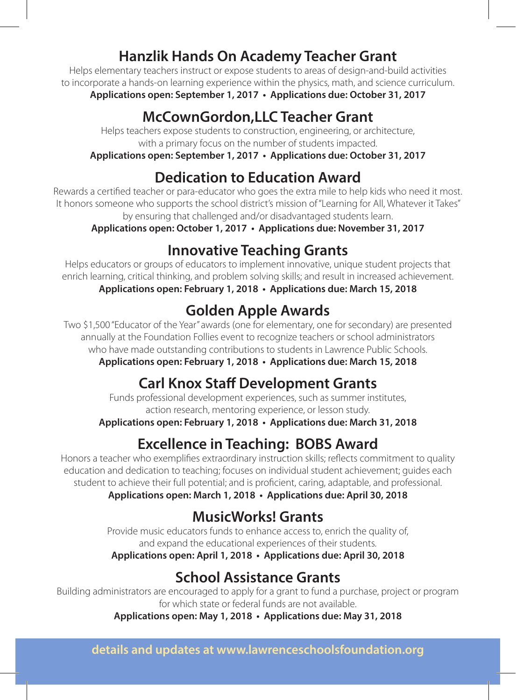#### **Hanzlik Hands On Academy Teacher Grant**

Helps elementary teachers instruct or expose students to areas of design-and-build activities to incorporate a hands-on learning experience within the physics, math, and science curriculum.

**Applications open: September 1, 2017 • Applications due: October 31, 2017**

### **McCownGordon,LLC Teacher Grant**

Helps teachers expose students to construction, engineering, or architecture, with a primary focus on the number of students impacted.

**Applications open: September 1, 2017 • Applications due: October 31, 2017**

#### **Dedication to Education Award**

Rewards a certified teacher or para-educator who goes the extra mile to help kids who need it most. It honors someone who supports the school district's mission of "Learning for All, Whatever it Takes" by ensuring that challenged and/or disadvantaged students learn.

**Applications open: October 1, 2017 • Applications due: November 31, 2017**

#### **Innovative Teaching Grants**

Helps educators or groups of educators to implement innovative, unique student projects that enrich learning, critical thinking, and problem solving skills; and result in increased achievement. **Applications open: February 1, 2018 • Applications due: March 15, 2018**

## **Golden Apple Awards**

Two \$1,500 "Educator of the Year" awards (one for elementary, one for secondary) are presented annually at the Foundation Follies event to recognize teachers or school administrators who have made outstanding contributions to students in Lawrence Public Schools.

**Applications open: February 1, 2018 • Applications due: March 15, 2018**

# **Carl Knox Staff Development Grants**

Funds professional development experiences, such as summer institutes, action research, mentoring experience, or lesson study.

**Applications open: February 1, 2018 • Applications due: March 31, 2018**

# **Excellence in Teaching: BOBS Award**

Honors a teacher who exemplifies extraordinary instruction skills; reflects commitment to quality education and dedication to teaching; focuses on individual student achievement; guides each student to achieve their full potential; and is proficient, caring, adaptable, and professional. **Applications open: March 1, 2018 • Applications due: April 30, 2018**

### **MusicWorks! Grants**

Provide music educators funds to enhance access to, enrich the quality of, and expand the educational experiences of their students. **Applications open: April 1, 2018 • Applications due: April 30, 2018**

# **School Assistance Grants**

Building administrators are encouraged to apply for a grant to fund a purchase, project or program for which state or federal funds are not available.

**Applications open: May 1, 2018 • Applications due: May 31, 2018**

**details and updates at www.lawrenceschoolsfoundation.org**